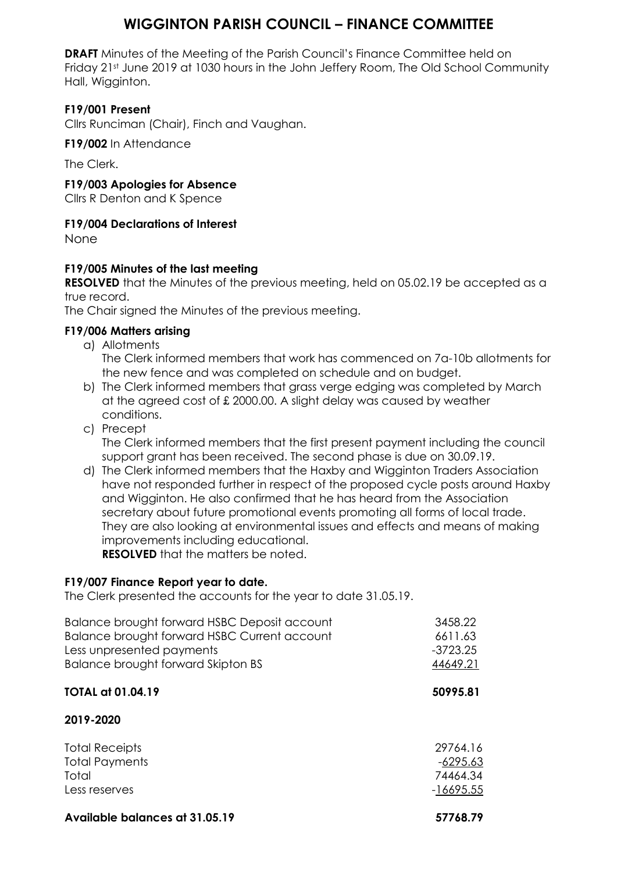# **WIGGINTON PARISH COUNCIL – FINANCE COMMITTEE**

**DRAFT** Minutes of the Meeting of the Parish Council's Finance Committee held on Friday 21st June 2019 at 1030 hours in the John Jeffery Room, The Old School Community Hall, Wigginton.

# **F19/001 Present**

Cllrs Runciman (Chair), Finch and Vaughan.

**F19/002** In Attendance

The Clerk.

#### **F19/003 Apologies for Absence**

Cllrs R Denton and K Spence

# **F19/004 Declarations of Interest**

None

## **F19/005 Minutes of the last meeting**

**RESOLVED** that the Minutes of the previous meeting, held on 05.02.19 be accepted as a true record.

The Chair signed the Minutes of the previous meeting.

## **F19/006 Matters arising**

- a) Allotments
	- The Clerk informed members that work has commenced on 7a-10b allotments for the new fence and was completed on schedule and on budget.
- b) The Clerk informed members that grass verge edging was completed by March at the agreed cost of £ 2000.00. A slight delay was caused by weather conditions.
- c) Precept The Clerk informed members that the first present payment including the council support grant has been received. The second phase is due on 30.09.19.
- d) The Clerk informed members that the Haxby and Wigginton Traders Association have not responded further in respect of the proposed cycle posts around Haxby and Wigginton. He also confirmed that he has heard from the Association secretary about future promotional events promoting all forms of local trade. They are also looking at environmental issues and effects and means of making improvements including educational. **RESOLVED** that the matters be noted.

# **F19/007 Finance Report year to date.**

The Clerk presented the accounts for the year to date 31.05.19.

| Balance brought forward HSBC Deposit account<br>Balance brought forward HSBC Current account<br>Less unpresented payments<br>Balance brought forward Skipton BS | 3458.22<br>6611.63<br>$-3723.25$<br>44649.21      |
|-----------------------------------------------------------------------------------------------------------------------------------------------------------------|---------------------------------------------------|
| <b>TOTAL at 01.04.19</b>                                                                                                                                        | 50995.81                                          |
| 2019-2020                                                                                                                                                       |                                                   |
| <b>Total Receipts</b><br><b>Total Payments</b><br>Total<br>Less reserves                                                                                        | 29764.16<br>$-6295.63$<br>74464.34<br>$-16695.55$ |
| Available balances at 31.05.19                                                                                                                                  | 57768.79                                          |